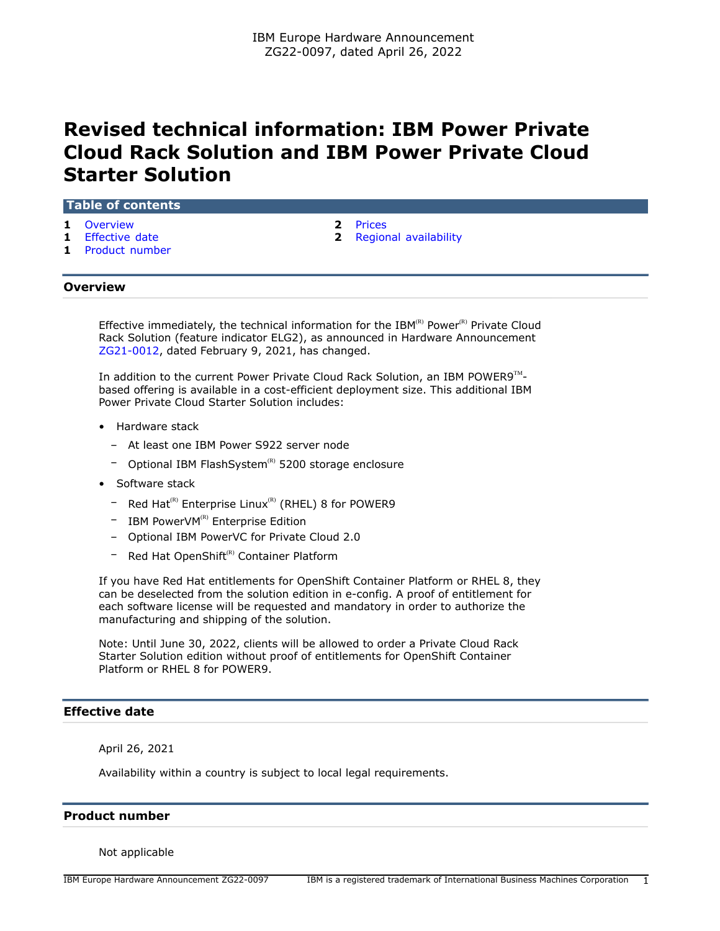# **Revised technical information: IBM Power Private Cloud Rack Solution and IBM Power Private Cloud Starter Solution**

## **Table of contents**

- **1** [Overview](#page-0-0) **2** [Prices](#page-1-0)
- 
- **1** [Product number](#page-0-2)
- 
- **1** [Effective date](#page-0-1) **2** [Regional availability](#page-1-1)

## <span id="page-0-0"></span>**Overview**

Effective immediately, the technical information for the IBM $R(R)$  Power $R(R)$  Private Cloud Rack Solution (feature indicator ELG2), as announced in Hardware Announcement [ZG21-0012](http://www.ibm.com/common/ssi/cgi-bin/ssialias?infotype=an&subtype=ca&appname=gpateam&supplier=877&letternum=ENUSZG21-0012), dated February 9, 2021, has changed.

In addition to the current Power Private Cloud Rack Solution, an IBM POWER9 $^{\text{TM}}$ based offering is available in a cost-efficient deployment size. This additional IBM Power Private Cloud Starter Solution includes:

- Hardware stack
	- At least one IBM Power S922 server node
	- Optional IBM FlashSystem<sup>(R)</sup> 5200 storage enclosure
- Software stack
	- $-$  Red Hat<sup>(R)</sup> Enterprise Linux<sup>(R)</sup> (RHEL) 8 for POWER9
	- $-$  IBM PowerVM<sup>(R)</sup> Enterprise Edition
	- Optional IBM PowerVC for Private Cloud 2.0
	- Red Hat OpenShift<sup>(R)</sup> Container Platform

If you have Red Hat entitlements for OpenShift Container Platform or RHEL 8, they can be deselected from the solution edition in e-config. A proof of entitlement for each software license will be requested and mandatory in order to authorize the manufacturing and shipping of the solution.

Note: Until June 30, 2022, clients will be allowed to order a Private Cloud Rack Starter Solution edition without proof of entitlements for OpenShift Container Platform or RHEL 8 for POWER9.

## <span id="page-0-1"></span>**Effective date**

April 26, 2021

Availability within a country is subject to local legal requirements.

## <span id="page-0-2"></span>**Product number**

Not applicable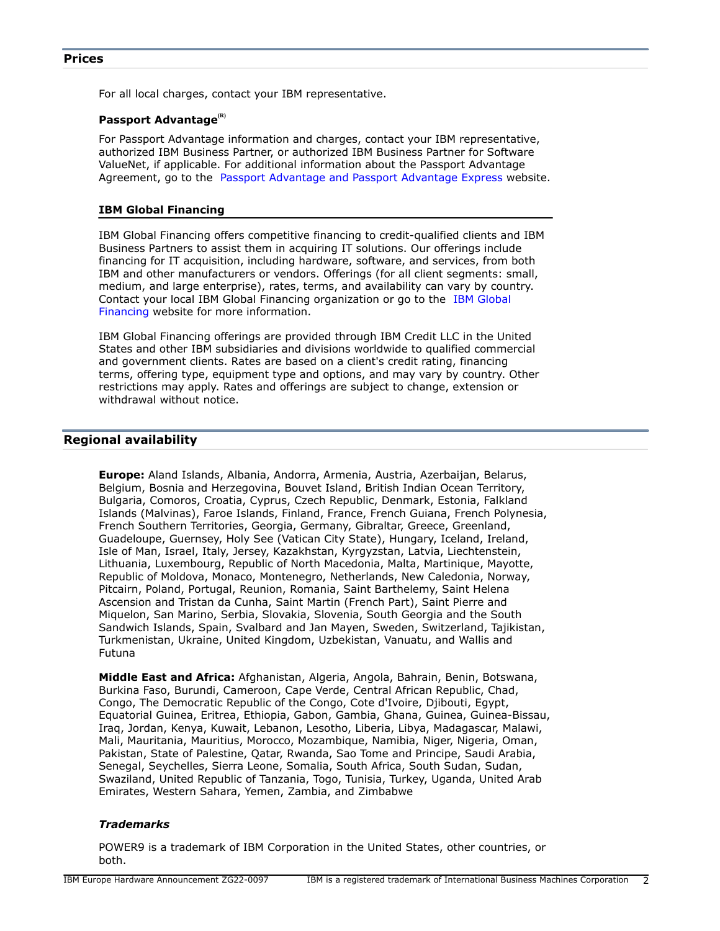<span id="page-1-0"></span>For all local charges, contact your IBM representative.

## **Passport Advantage(R)**

For Passport Advantage information and charges, contact your IBM representative, authorized IBM Business Partner, or authorized IBM Business Partner for Software ValueNet, if applicable. For additional information about the Passport Advantage Agreement, go to the [Passport Advantage and Passport Advantage Express](http://www.ibm.com/software/passportadvantage) website.

#### **IBM Global Financing**

IBM Global Financing offers competitive financing to credit-qualified clients and IBM Business Partners to assist them in acquiring IT solutions. Our offerings include financing for IT acquisition, including hardware, software, and services, from both IBM and other manufacturers or vendors. Offerings (for all client segments: small, medium, and large enterprise), rates, terms, and availability can vary by country. Contact your local IBM Global Financing organization or go to the [IBM Global](http://www.ibm.com/financing) [Financing](http://www.ibm.com/financing) website for more information.

IBM Global Financing offerings are provided through IBM Credit LLC in the United States and other IBM subsidiaries and divisions worldwide to qualified commercial and government clients. Rates are based on a client's credit rating, financing terms, offering type, equipment type and options, and may vary by country. Other restrictions may apply. Rates and offerings are subject to change, extension or withdrawal without notice.

## <span id="page-1-1"></span>**Regional availability**

**Europe:** Aland Islands, Albania, Andorra, Armenia, Austria, Azerbaijan, Belarus, Belgium, Bosnia and Herzegovina, Bouvet Island, British Indian Ocean Territory, Bulgaria, Comoros, Croatia, Cyprus, Czech Republic, Denmark, Estonia, Falkland Islands (Malvinas), Faroe Islands, Finland, France, French Guiana, French Polynesia, French Southern Territories, Georgia, Germany, Gibraltar, Greece, Greenland, Guadeloupe, Guernsey, Holy See (Vatican City State), Hungary, Iceland, Ireland, Isle of Man, Israel, Italy, Jersey, Kazakhstan, Kyrgyzstan, Latvia, Liechtenstein, Lithuania, Luxembourg, Republic of North Macedonia, Malta, Martinique, Mayotte, Republic of Moldova, Monaco, Montenegro, Netherlands, New Caledonia, Norway, Pitcairn, Poland, Portugal, Reunion, Romania, Saint Barthelemy, Saint Helena Ascension and Tristan da Cunha, Saint Martin (French Part), Saint Pierre and Miquelon, San Marino, Serbia, Slovakia, Slovenia, South Georgia and the South Sandwich Islands, Spain, Svalbard and Jan Mayen, Sweden, Switzerland, Tajikistan, Turkmenistan, Ukraine, United Kingdom, Uzbekistan, Vanuatu, and Wallis and Futuna

**Middle East and Africa:** Afghanistan, Algeria, Angola, Bahrain, Benin, Botswana, Burkina Faso, Burundi, Cameroon, Cape Verde, Central African Republic, Chad, Congo, The Democratic Republic of the Congo, Cote d'Ivoire, Djibouti, Egypt, Equatorial Guinea, Eritrea, Ethiopia, Gabon, Gambia, Ghana, Guinea, Guinea-Bissau, Iraq, Jordan, Kenya, Kuwait, Lebanon, Lesotho, Liberia, Libya, Madagascar, Malawi, Mali, Mauritania, Mauritius, Morocco, Mozambique, Namibia, Niger, Nigeria, Oman, Pakistan, State of Palestine, Qatar, Rwanda, Sao Tome and Principe, Saudi Arabia, Senegal, Seychelles, Sierra Leone, Somalia, South Africa, South Sudan, Sudan, Swaziland, United Republic of Tanzania, Togo, Tunisia, Turkey, Uganda, United Arab Emirates, Western Sahara, Yemen, Zambia, and Zimbabwe

#### *Trademarks*

POWER9 is a trademark of IBM Corporation in the United States, other countries, or both.